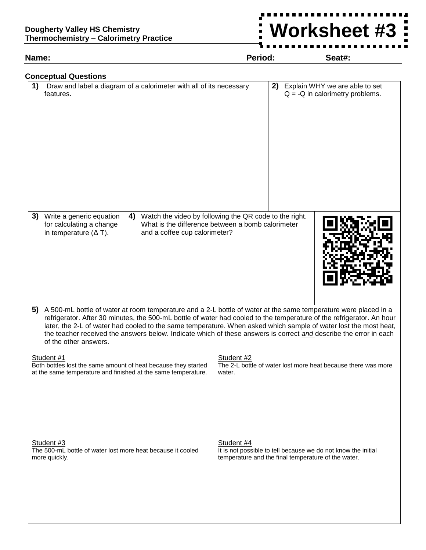## **Dougherty Valley HS Chemistry Thermochemistry – Calorimetry Practice**

**Name: Period: Seat#:**

 $\frac{1}{2}$ 

**Worksheet #3**

| <b>Conceptual Questions</b><br>1)                         | Draw and label a diagram of a calorimeter with all of its necessary                                                                                                                                                                                                                                                                                           | 2)                   | Explain WHY we are able to set                                                                                       |
|-----------------------------------------------------------|---------------------------------------------------------------------------------------------------------------------------------------------------------------------------------------------------------------------------------------------------------------------------------------------------------------------------------------------------------------|----------------------|----------------------------------------------------------------------------------------------------------------------|
| features.                                                 |                                                                                                                                                                                                                                                                                                                                                               |                      | $Q = -Q$ in calorimetry problems.                                                                                    |
| 3)<br>Write a generic equation                            | Watch the video by following the QR code to the right.<br>4)                                                                                                                                                                                                                                                                                                  |                      |                                                                                                                      |
| for calculating a change<br>in temperature $(\Delta T)$ . | What is the difference between a bomb calorimeter<br>and a coffee cup calorimeter?                                                                                                                                                                                                                                                                            |                      |                                                                                                                      |
| 5)<br>of the other answers.                               | A 500-mL bottle of water at room temperature and a 2-L bottle of water at the same temperature were placed in a<br>refrigerator. After 30 minutes, the 500-mL bottle of water had cooled to the temperature of the refrigerator. An hour<br>the teacher received the answers below. Indicate which of these answers is correct and describe the error in each |                      | later, the 2-L of water had cooled to the same temperature. When asked which sample of water lost the most heat,     |
| Student #1                                                | Both bottles lost the same amount of heat because they started<br>at the same temperature and finished at the same temperature.                                                                                                                                                                                                                               | Student #2<br>water. | The 2-L bottle of water lost more heat because there was more                                                        |
| Student #3<br>more quickly.                               | The 500-mL bottle of water lost more heat because it cooled                                                                                                                                                                                                                                                                                                   | Student #4           | It is not possible to tell because we do not know the initial<br>temperature and the final temperature of the water. |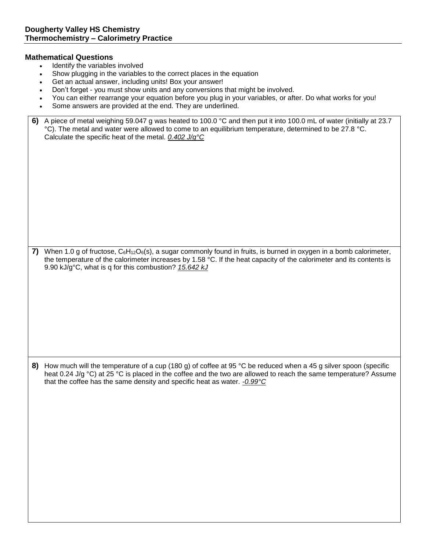## **Mathematical Questions**

- Identify the variables involved
- Show plugging in the variables to the correct places in the equation
- Get an actual answer, including units! Box your answer!
- Don't forget you must show units and any conversions that might be involved.
- You can either rearrange your equation before you plug in your variables, or after. Do what works for you!
- Some answers are provided at the end. They are underlined.

| 6) A piece of metal weighing 59.047 g was heated to 100.0 °C and then put it into 100.0 mL of water (initially at 23.7 |
|------------------------------------------------------------------------------------------------------------------------|
| °C). The metal and water were allowed to come to an equilibrium temperature, determined to be 27.8 °C.                 |
| Calculate the specific heat of the metal. $0.402 \text{ J/g}^{\circ}\text{C}$                                          |

**7)** When 1.0 g of fructose, C<sub>6</sub>H<sub>12</sub>O<sub>6</sub>(s), a sugar commonly found in fruits, is burned in oxygen in a bomb calorimeter, the temperature of the calorimeter increases by 1.58 °C. If the heat capacity of the calorimeter and its contents is 9.90 kJ/g°C, what is q for this combustion? *15.642 kJ*

**8)** How much will the temperature of a cup (180 g) of coffee at 95 °C be reduced when a 45 g silver spoon (specific heat 0.24 J/g °C) at 25 °C is placed in the coffee and the two are allowed to reach the same temperature? Assume that the coffee has the same density and specific heat as water. *-0.99°C*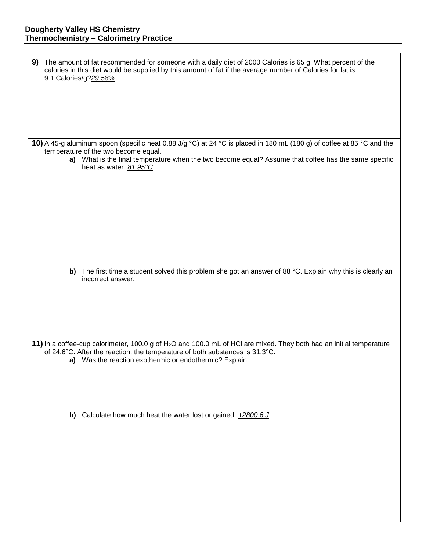| 9) The amount of fat recommended for someone with a daily diet of 2000 Calories is 65 g. What percent of the<br>calories in this diet would be supplied by this amount of fat if the average number of Calories for fat is<br>9.1 Calories/g?29.58% |                                                                                                                                                               |                                                                                                                                                                                                                  |  |  |  |
|-----------------------------------------------------------------------------------------------------------------------------------------------------------------------------------------------------------------------------------------------------|---------------------------------------------------------------------------------------------------------------------------------------------------------------|------------------------------------------------------------------------------------------------------------------------------------------------------------------------------------------------------------------|--|--|--|
|                                                                                                                                                                                                                                                     | 10) A 45-g aluminum spoon (specific heat 0.88 J/g °C) at 24 °C is placed in 180 mL (180 g) of coffee at 85 °C and the<br>temperature of the two become equal. |                                                                                                                                                                                                                  |  |  |  |
|                                                                                                                                                                                                                                                     |                                                                                                                                                               | a) What is the final temperature when the two become equal? Assume that coffee has the same specific<br>heat as water. 81.95°C                                                                                   |  |  |  |
|                                                                                                                                                                                                                                                     |                                                                                                                                                               |                                                                                                                                                                                                                  |  |  |  |
|                                                                                                                                                                                                                                                     |                                                                                                                                                               |                                                                                                                                                                                                                  |  |  |  |
|                                                                                                                                                                                                                                                     |                                                                                                                                                               | b) The first time a student solved this problem she got an answer of 88 °C. Explain why this is clearly an<br>incorrect answer.                                                                                  |  |  |  |
|                                                                                                                                                                                                                                                     |                                                                                                                                                               |                                                                                                                                                                                                                  |  |  |  |
|                                                                                                                                                                                                                                                     |                                                                                                                                                               | 11) In a coffee-cup calorimeter, 100.0 g of H <sub>2</sub> O and 100.0 mL of HCI are mixed. They both had an initial temperature<br>of 24.6°C. After the reaction, the temperature of both substances is 31.3°C. |  |  |  |
|                                                                                                                                                                                                                                                     |                                                                                                                                                               | a) Was the reaction exothermic or endothermic? Explain.                                                                                                                                                          |  |  |  |
|                                                                                                                                                                                                                                                     |                                                                                                                                                               | b) Calculate how much heat the water lost or gained. $+2800.6$ J                                                                                                                                                 |  |  |  |
|                                                                                                                                                                                                                                                     |                                                                                                                                                               |                                                                                                                                                                                                                  |  |  |  |
|                                                                                                                                                                                                                                                     |                                                                                                                                                               |                                                                                                                                                                                                                  |  |  |  |
|                                                                                                                                                                                                                                                     |                                                                                                                                                               |                                                                                                                                                                                                                  |  |  |  |
|                                                                                                                                                                                                                                                     |                                                                                                                                                               |                                                                                                                                                                                                                  |  |  |  |